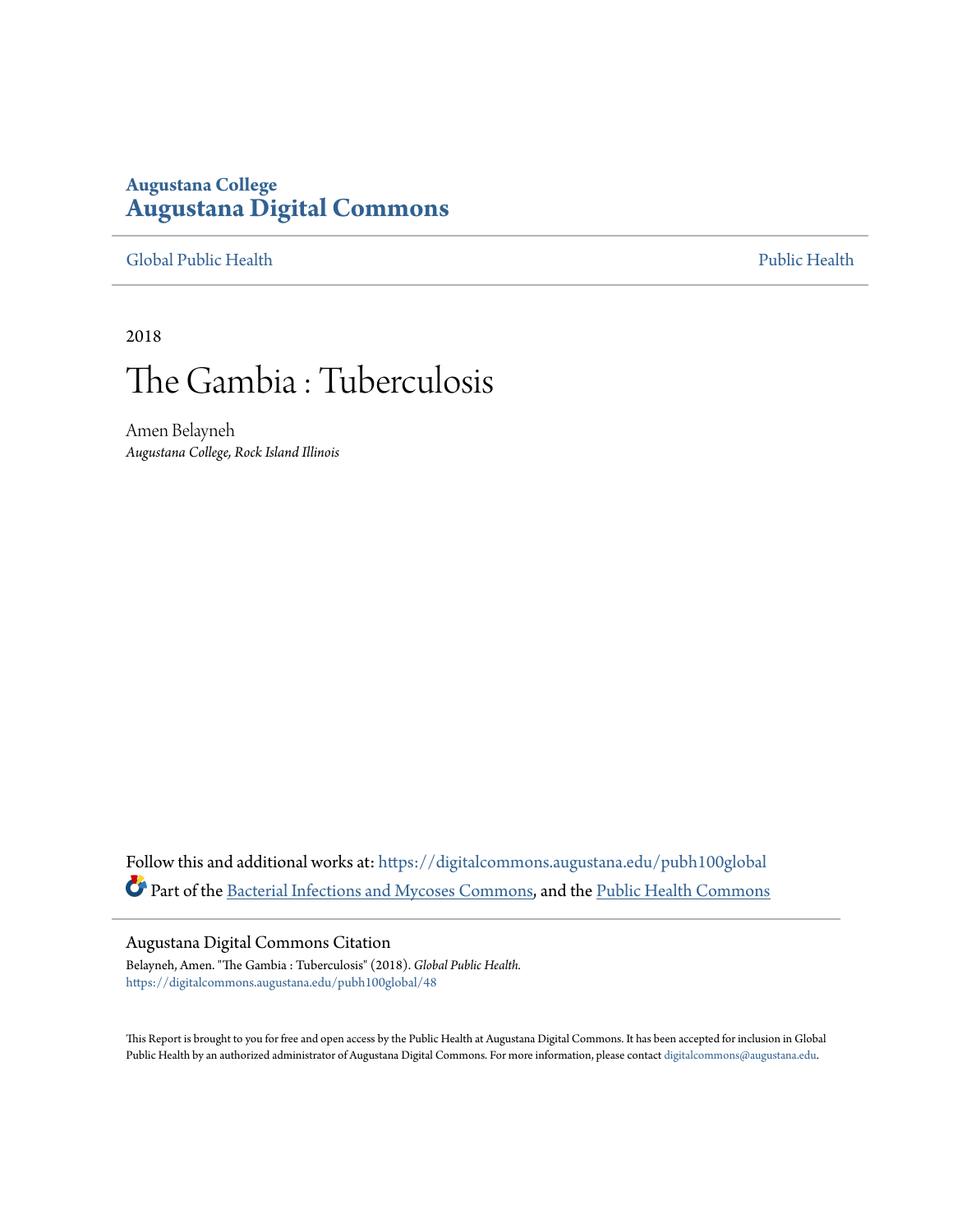### **Augustana College [Augustana Digital Commons](https://digitalcommons.augustana.edu?utm_source=digitalcommons.augustana.edu%2Fpubh100global%2F48&utm_medium=PDF&utm_campaign=PDFCoverPages)**

#### [Global Public Health](https://digitalcommons.augustana.edu/pubh100global?utm_source=digitalcommons.augustana.edu%2Fpubh100global%2F48&utm_medium=PDF&utm_campaign=PDFCoverPages) [Public Health](https://digitalcommons.augustana.edu/publichealth?utm_source=digitalcommons.augustana.edu%2Fpubh100global%2F48&utm_medium=PDF&utm_campaign=PDFCoverPages)

2018

# The Gambia : Tuberculosis

Amen Belayneh *Augustana College, Rock Island Illinois*

Follow this and additional works at: [https://digitalcommons.augustana.edu/pubh100global](https://digitalcommons.augustana.edu/pubh100global?utm_source=digitalcommons.augustana.edu%2Fpubh100global%2F48&utm_medium=PDF&utm_campaign=PDFCoverPages) Part of the [Bacterial Infections and Mycoses Commons,](http://network.bepress.com/hgg/discipline/966?utm_source=digitalcommons.augustana.edu%2Fpubh100global%2F48&utm_medium=PDF&utm_campaign=PDFCoverPages) and the [Public Health Commons](http://network.bepress.com/hgg/discipline/738?utm_source=digitalcommons.augustana.edu%2Fpubh100global%2F48&utm_medium=PDF&utm_campaign=PDFCoverPages)

#### Augustana Digital Commons Citation

Belayneh, Amen. "The Gambia : Tuberculosis" (2018). *Global Public Health.* [https://digitalcommons.augustana.edu/pubh100global/48](https://digitalcommons.augustana.edu/pubh100global/48?utm_source=digitalcommons.augustana.edu%2Fpubh100global%2F48&utm_medium=PDF&utm_campaign=PDFCoverPages)

This Report is brought to you for free and open access by the Public Health at Augustana Digital Commons. It has been accepted for inclusion in Global Public Health by an authorized administrator of Augustana Digital Commons. For more information, please contact [digitalcommons@augustana.edu.](mailto:digitalcommons@augustana.edu)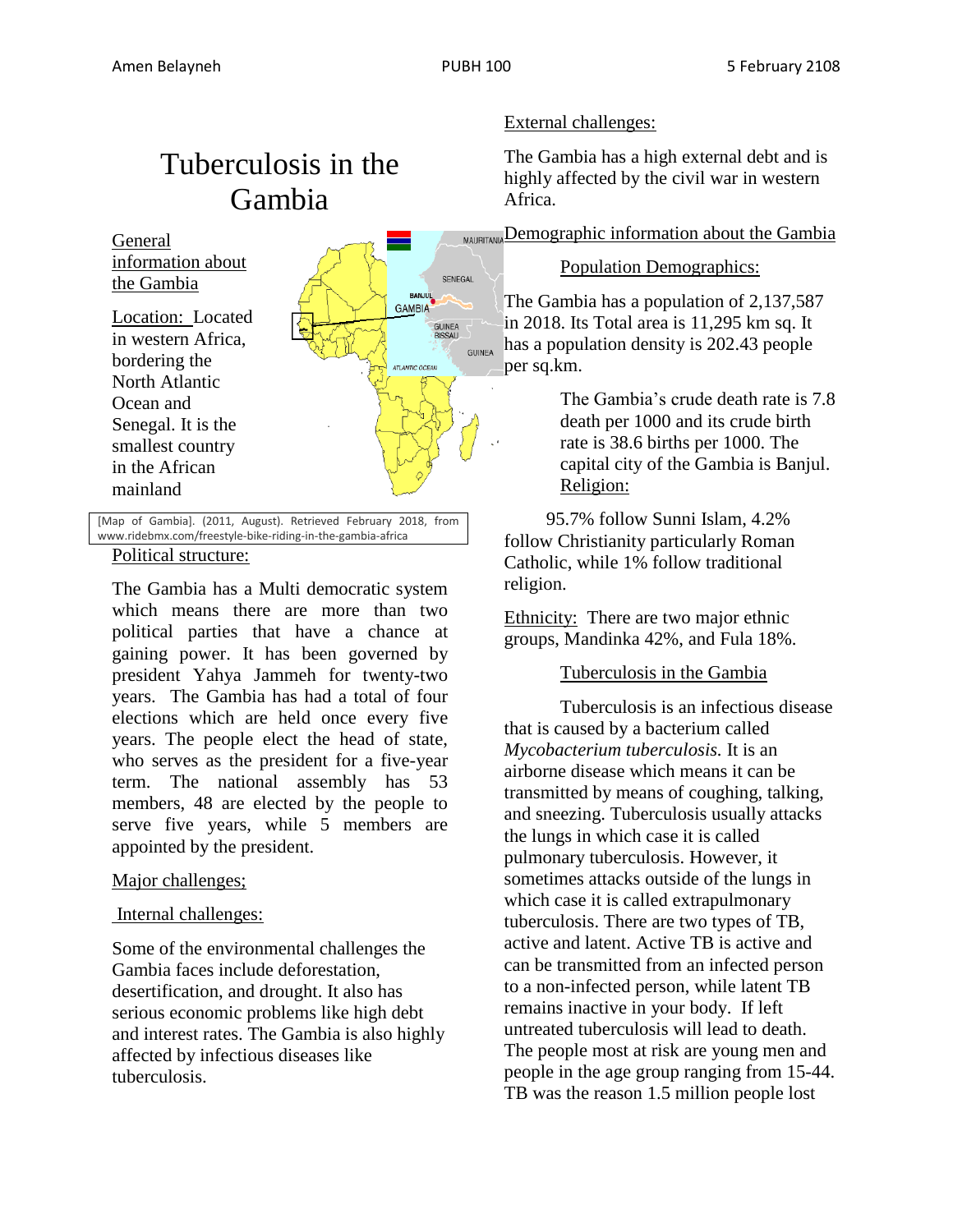## Tuberculosis in the Gambia



[Map of Gambia]. (2011, August). Retrieved February 2018, from www.ridebmx.com/freestyle-bike-riding-in-the-gambia-africa

#### Political structure:

The Gambia has a Multi democratic system which means there are more than two political parties that have a chance at gaining power. It has been governed by president Yahya Jammeh for twenty-two years. The Gambia has had a total of four elections which are held once every five years. The people elect the head of state, who serves as the president for a five-year term. The national assembly has 53 members, 48 are elected by the people to serve five years, while 5 members are appointed by the president.

#### Major challenges;

#### Internal challenges:

Some of the environmental challenges the Gambia faces include deforestation, desertification, and drought. It also has serious economic problems like high debt and interest rates. The Gambia is also highly affected by infectious diseases like tuberculosis.

#### External challenges:

The Gambia has a high external debt and is highly affected by the civil war in western Africa.

MAURITANIA Demographic information about the Gambia

Population Demographics:

The Gambia has a population of 2,137,587 in 2018. Its Total area is 11,295 km sq. It has a population density is 202.43 people per sq.km.

> The Gambia's crude death rate is 7.8 death per 1000 and its crude birth rate is 38.6 births per 1000. The capital city of the Gambia is Banjul. Religion:

 95.7% follow Sunni Islam, 4.2% follow Christianity particularly Roman Catholic, while 1% follow traditional religion.

Ethnicity: There are two major ethnic groups, Mandinka 42%, and Fula 18%.

#### Tuberculosis in the Gambia

Tuberculosis is an infectious disease that is caused by a bacterium called *Mycobacterium tuberculosis.* It is an airborne disease which means it can be transmitted by means of coughing, talking, and sneezing. Tuberculosis usually attacks the lungs in which case it is called pulmonary tuberculosis. However, it sometimes attacks outside of the lungs in which case it is called extrapulmonary tuberculosis. There are two types of TB, active and latent. Active TB is active and can be transmitted from an infected person to a non-infected person, while latent TB remains inactive in your body. If left untreated tuberculosis will lead to death. The people most at risk are young men and people in the age group ranging from 15-44. TB was the reason 1.5 million people lost